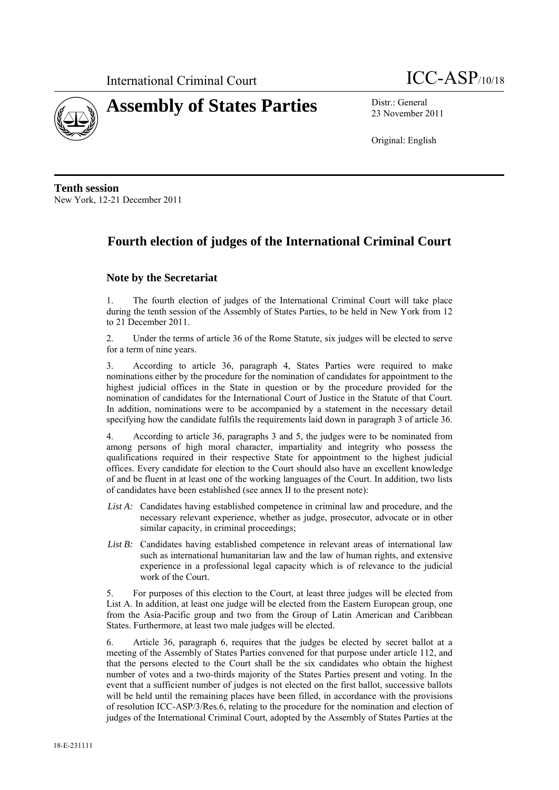



23 November 2011

Original: English

**Tenth session**  New York, 12-21 December 2011

### **Fourth election of judges of the International Criminal Court**

#### **Note by the Secretariat**

1. The fourth election of judges of the International Criminal Court will take place during the tenth session of the Assembly of States Parties, to be held in New York from 12 to 21 December 2011.

2. Under the terms of article 36 of the Rome Statute, six judges will be elected to serve for a term of nine years.

3. According to article 36, paragraph 4, States Parties were required to make nominations either by the procedure for the nomination of candidates for appointment to the highest judicial offices in the State in question or by the procedure provided for the nomination of candidates for the International Court of Justice in the Statute of that Court. In addition, nominations were to be accompanied by a statement in the necessary detail specifying how the candidate fulfils the requirements laid down in paragraph 3 of article 36.

4. According to article 36, paragraphs 3 and 5, the judges were to be nominated from among persons of high moral character, impartiality and integrity who possess the qualifications required in their respective State for appointment to the highest judicial offices. Every candidate for election to the Court should also have an excellent knowledge of and be fluent in at least one of the working languages of the Court. In addition, two lists of candidates have been established (see annex II to the present note):

- *List A:* Candidates having established competence in criminal law and procedure, and the necessary relevant experience, whether as judge, prosecutor, advocate or in other similar capacity, in criminal proceedings;
- List B: Candidates having established competence in relevant areas of international law such as international humanitarian law and the law of human rights, and extensive experience in a professional legal capacity which is of relevance to the judicial work of the Court.

5. For purposes of this election to the Court, at least three judges will be elected from List A. In addition, at least one judge will be elected from the Eastern European group, one from the Asia-Pacific group and two from the Group of Latin American and Caribbean States. Furthermore, at least two male judges will be elected.

6. Article 36, paragraph 6, requires that the judges be elected by secret ballot at a meeting of the Assembly of States Parties convened for that purpose under article 112, and that the persons elected to the Court shall be the six candidates who obtain the highest number of votes and a two-thirds majority of the States Parties present and voting. In the event that a sufficient number of judges is not elected on the first ballot, successive ballots will be held until the remaining places have been filled, in accordance with the provisions of resolution ICC-ASP/3/Res.6, relating to the procedure for the nomination and election of judges of the International Criminal Court, adopted by the Assembly of States Parties at the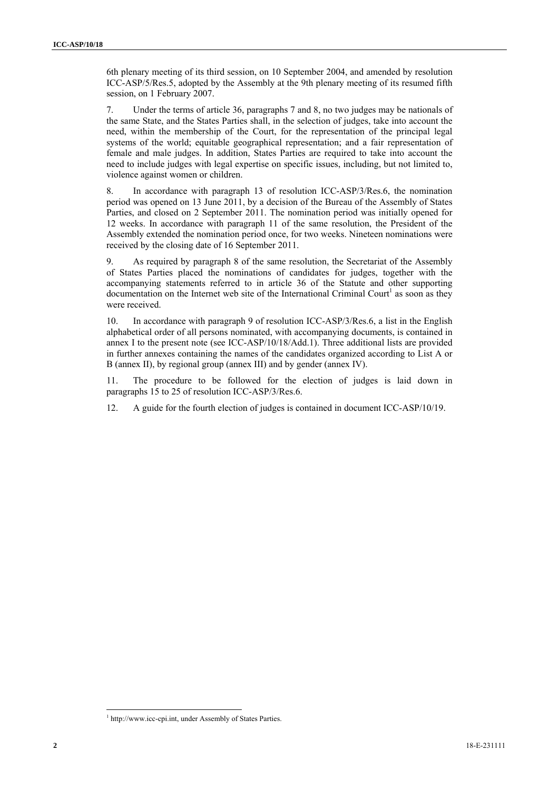6th plenary meeting of its third session, on 10 September 2004, and amended by resolution ICC-ASP/5/Res.5, adopted by the Assembly at the 9th plenary meeting of its resumed fifth session, on 1 February 2007.

7. Under the terms of article 36, paragraphs 7 and 8, no two judges may be nationals of the same State, and the States Parties shall, in the selection of judges, take into account the need, within the membership of the Court, for the representation of the principal legal systems of the world; equitable geographical representation; and a fair representation of female and male judges. In addition, States Parties are required to take into account the need to include judges with legal expertise on specific issues, including, but not limited to, violence against women or children.

8. In accordance with paragraph 13 of resolution ICC-ASP/3/Res.6, the nomination period was opened on 13 June 2011, by a decision of the Bureau of the Assembly of States Parties, and closed on 2 September 2011. The nomination period was initially opened for 12 weeks. In accordance with paragraph 11 of the same resolution, the President of the Assembly extended the nomination period once, for two weeks. Nineteen nominations were received by the closing date of 16 September 2011.

9. As required by paragraph 8 of the same resolution, the Secretariat of the Assembly of States Parties placed the nominations of candidates for judges, together with the accompanying statements referred to in article 36 of the Statute and other supporting documentation on the Internet web site of the International Criminal Court<sup>1</sup> as soon as they were received.

10. In accordance with paragraph 9 of resolution ICC-ASP/3/Res.6, a list in the English alphabetical order of all persons nominated, with accompanying documents, is contained in annex I to the present note (see ICC-ASP/10/18/Add.1). Three additional lists are provided in further annexes containing the names of the candidates organized according to List A or B (annex II), by regional group (annex III) and by gender (annex IV).

11. The procedure to be followed for the election of judges is laid down in paragraphs 15 to 25 of resolution ICC-ASP/3/Res.6.

12. A guide for the fourth election of judges is contained in document ICC-ASP/10/19.

l

<sup>&</sup>lt;sup>1</sup> http://www.icc-cpi.int, under Assembly of States Parties.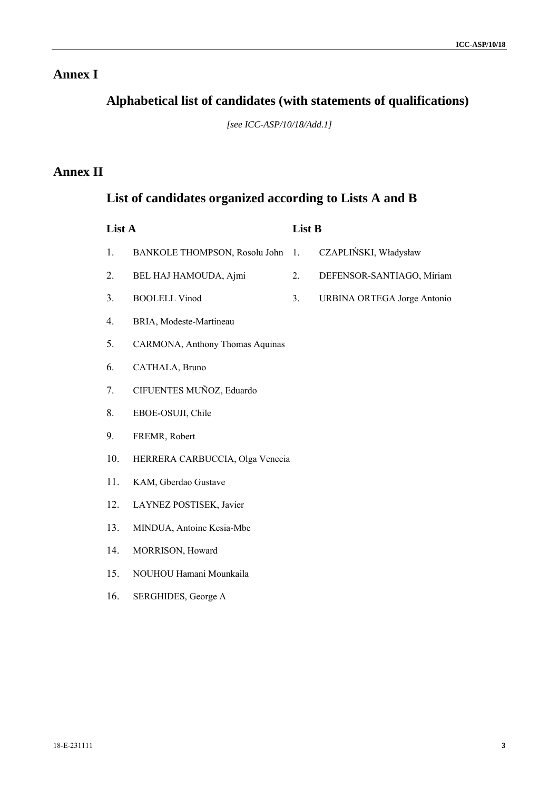## **Annex I**

## **Alphabetical list of candidates (with statements of qualifications)**

*[see ICC-ASP/10/18/Add.1]* 

## **Annex II**

## **List of candidates organized according to Lists A and B**

| List A |                                 | List B |                             |
|--------|---------------------------------|--------|-----------------------------|
| 1.     | BANKOLE THOMPSON, Rosolu John   | 1.     | CZAPLIŃSKI, Władysław       |
| 2.     | BEL HAJ HAMOUDA, Ajmi           | 2.     | DEFENSOR-SANTIAGO, Miriam   |
| 3.     | <b>BOOLELL Vinod</b>            | 3.     | URBINA ORTEGA Jorge Antonio |
| 4.     | BRIA, Modeste-Martineau         |        |                             |
| 5.     | CARMONA, Anthony Thomas Aquinas |        |                             |
| 6.     | CATHALA, Bruno                  |        |                             |
| 7.     | CIFUENTES MUÑOZ, Eduardo        |        |                             |
| 8.     | EBOE-OSUJI, Chile               |        |                             |
| 9.     | FREMR, Robert                   |        |                             |
| 10.    | HERRERA CARBUCCIA, Olga Venecia |        |                             |
| 11.    | KAM, Gberdao Gustave            |        |                             |
| 12.    | LAYNEZ POSTISEK, Javier         |        |                             |
| 13.    | MINDUA, Antoine Kesia-Mbe       |        |                             |
| 14.    | MORRISON, Howard                |        |                             |
| 15.    | NOUHOU Hamani Mounkaila         |        |                             |
| 16.    | SERGHIDES, George A             |        |                             |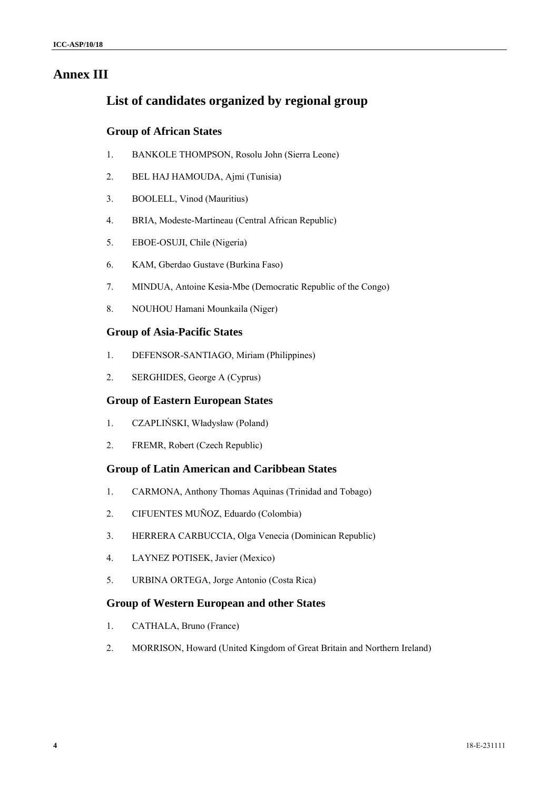### **Annex III**

### **List of candidates organized by regional group**

#### **Group of African States**

- 1. BANKOLE THOMPSON, Rosolu John (Sierra Leone)
- 2. BEL HAJ HAMOUDA, Ajmi (Tunisia)
- 3. BOOLELL, Vinod (Mauritius)
- 4. BRIA, Modeste-Martineau (Central African Republic)
- 5. EBOE-OSUJI, Chile (Nigeria)
- 6. KAM, Gberdao Gustave (Burkina Faso)
- 7. MINDUA, Antoine Kesia-Mbe (Democratic Republic of the Congo)
- 8. NOUHOU Hamani Mounkaila (Niger)

#### **Group of Asia-Pacific States**

- 1. DEFENSOR-SANTIAGO, Miriam (Philippines)
- 2. SERGHIDES, George A (Cyprus)

#### **Group of Eastern European States**

- 1. CZAPLIŃSKI, Władysław (Poland)
- 2. FREMR, Robert (Czech Republic)

#### **Group of Latin American and Caribbean States**

- 1. CARMONA, Anthony Thomas Aquinas (Trinidad and Tobago)
- 2. CIFUENTES MUÑOZ, Eduardo (Colombia)
- 3. HERRERA CARBUCCIA, Olga Venecia (Dominican Republic)
- 4. LAYNEZ POTISEK, Javier (Mexico)
- 5. URBINA ORTEGA, Jorge Antonio (Costa Rica)

#### **Group of Western European and other States**

- 1. CATHALA, Bruno (France)
- 2. MORRISON, Howard (United Kingdom of Great Britain and Northern Ireland)